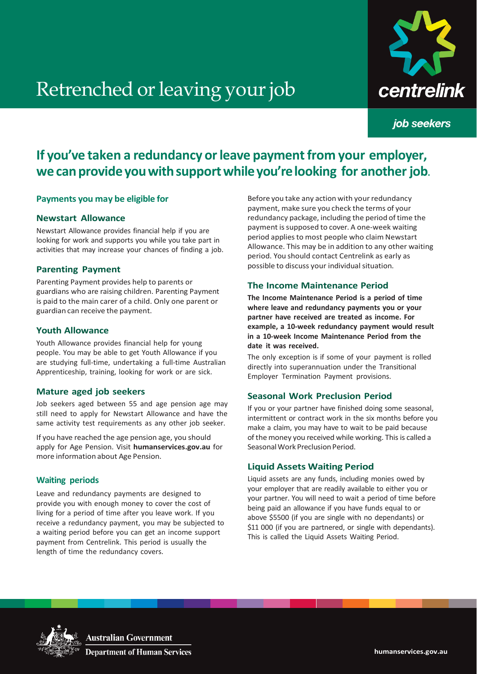

# Retrenched or leaving your job

job seekers

# **If you've taken a redundancy orleave paymentfrom your employer, we canprovideyouwithsupportwhileyou'relooking for another job.**

# **Payments you may be eligible for**

# **Newstart Allowance**

Newstart Allowance provides financial help if you are looking for work and supports you while you take part in activities that may increase your chances of finding a job.

# **Parenting Payment**

Parenting Payment provides help to parents or guardians who are raising children. Parenting Payment is paid to the main carer of a child. Only one parent or guardian can receive the payment.

# **Youth Allowance**

Youth Allowance provides financial help for young people. You may be able to get Youth Allowance if you are studying full-time, undertaking a full-time Australian Apprenticeship, training, looking for work or are sick.

#### **Mature aged job seekers**

Job seekers aged between 55 and age pension age may still need to apply for Newstart Allowance and have the same activity test requirements as any other job seeker.

If you have reached the age pension age, you should apply for Age Pension. Visit **humanservices.gov.au** for more information about Age Pension.

# **Waiting periods**

Leave and redundancy payments are designed to provide you with enough money to cover the cost of living for a period of time after you leave work. If you receive a redundancy payment, you may be subjected to a waiting period before you can get an income support payment from Centrelink. This period is usually the length of time the redundancy covers.

Before you take any action with your redundancy payment, make sure you check the terms of your redundancy package, including the period oftime the payment is supposed to cover. A one-week waiting period applies to most people who claim Newstart Allowance. This may be in addition to any other waiting period. You should contact Centrelink as early as possible to discuss your individual situation.

## **The Income Maintenance Period**

**The Income Maintenance Period is a period of time where leave and redundancy payments you or your partner have received are treated as income. For example, a 10-week redundancy payment would result in a 10-week Income Maintenance Period from the date it was received.**

The only exception is if some of your payment is rolled directly into superannuation under the Transitional Employer Termination Payment provisions.

# **Seasonal Work Preclusion Period**

If you or your partner have finished doing some seasonal, intermittent or contract work in the six months before you make a claim, you may have to wait to be paid because of the money you received while working. This is called a Seasonal Work Preclusion Period.

#### **Liquid Assets Waiting Period**

Liquid assets are any funds, including monies owed by your employer that are readily available to either you or your partner. You will need to wait a period of time before being paid an allowance if you have funds equal to or above \$5500 (if you are single with no dependants) or \$11 000 (if you are partnered, or single with dependants). This is called the Liquid Assets Waiting Period.



Australian Government **Department of Human Services**